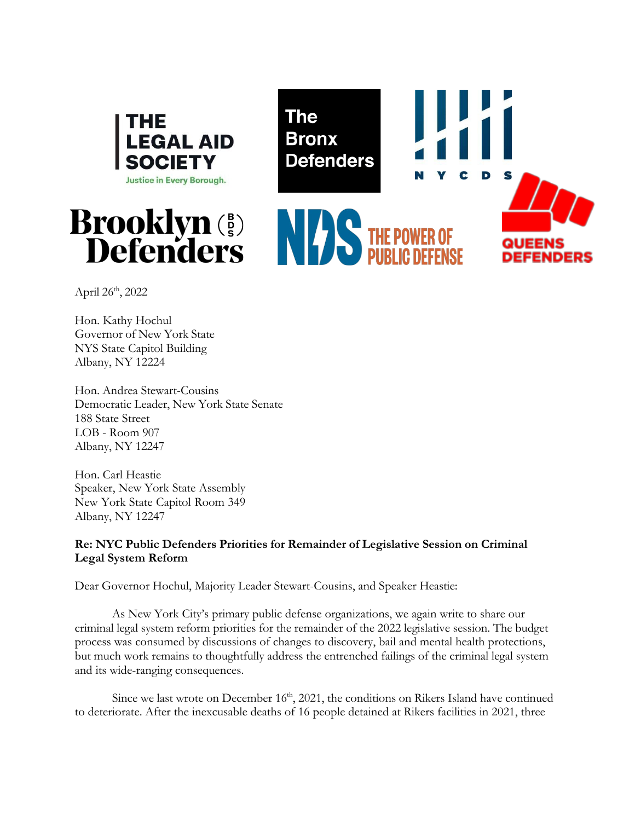





April 26th, 2022

Hon. Kathy Hochul Governor of New York State NYS State Capitol Building Albany, NY 12224

Hon. Andrea Stewart-Cousins Democratic Leader, New York State Senate 188 State Street LOB - Room 907 Albany, NY 12247

Hon. Carl Heastie Speaker, New York State Assembly New York State Capitol Room 349 Albany, NY 12247

# **Re: NYC Public Defenders Priorities for Remainder of Legislative Session on Criminal Legal System Reform**

Dear Governor Hochul, Majority Leader Stewart-Cousins, and Speaker Heastie:

As New York City's primary public defense organizations, we again write to share our criminal legal system reform priorities for the remainder of the 2022 legislative session. The budget process was consumed by discussions of changes to discovery, bail and mental health protections, but much work remains to thoughtfully address the entrenched failings of the criminal legal system and its wide-ranging consequences.

Since we last wrote on December  $16<sup>th</sup>$ , 2021, the conditions on Rikers Island have continued to deteriorate. After the inexcusable deaths of 16 people detained at Rikers facilities in 2021, three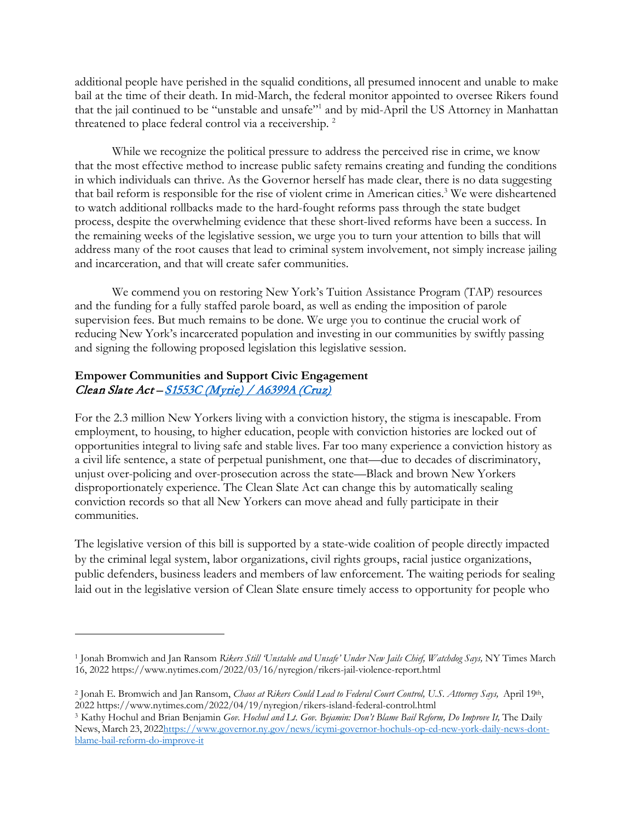additional people have perished in the squalid conditions, all presumed innocent and unable to make bail at the time of their death. In mid-March, the federal monitor appointed to oversee Rikers found that the jail continued to be "unstable and unsafe"1 and by mid-April the US Attorney in Manhattan threatened to place federal control via a receivership. 2

While we recognize the political pressure to address the perceived rise in crime, we know that the most effective method to increase public safety remains creating and funding the conditions in which individuals can thrive. As the Governor herself has made clear, there is no data suggesting that bail reform is responsible for the rise of violent crime in American cities.<sup>3</sup> We were disheartened to watch additional rollbacks made to the hard-fought reforms pass through the state budget process, despite the overwhelming evidence that these short-lived reforms have been a success. In the remaining weeks of the legislative session, we urge you to turn your attention to bills that will address many of the root causes that lead to criminal system involvement, not simply increase jailing and incarceration, and that will create safer communities.

We commend you on restoring New York's Tuition Assistance Program (TAP) resources and the funding for a fully staffed parole board, as well as ending the imposition of parole supervision fees. But much remains to be done. We urge you to continue the crucial work of reducing New York's incarcerated population and investing in our communities by swiftly passing and signing the following proposed legislation this legislative session.

# **Empower Communities and Support Civic Engagement** Clean Slate Act - S1553C (Myrie) / A6399A (Cruz)

For the 2.3 million New Yorkers living with a conviction history, the stigma is inescapable. From employment, to housing, to higher education, people with conviction histories are locked out of opportunities integral to living safe and stable lives. Far too many experience a conviction history as a civil life sentence, a state of perpetual punishment, one that—due to decades of discriminatory, unjust over-policing and over-prosecution across the state—Black and brown New Yorkers disproportionately experience. The Clean Slate Act can change this by automatically sealing conviction records so that all New Yorkers can move ahead and fully participate in their communities.

The legislative version of this bill is supported by a state-wide coalition of people directly impacted by the criminal legal system, labor organizations, civil rights groups, racial justice organizations, public defenders, business leaders and members of law enforcement. The waiting periods for sealing laid out in the legislative version of Clean Slate ensure timely access to opportunity for people who

<sup>1</sup> Jonah Bromwich and Jan Ransom *Rikers Still 'Unstable and Unsafe' Under New Jails Chief, Watchdog Says,* NY Times March 16, 2022 http[s://www.nytimes.com/2022/03/16/nyregion/rikers-jail-violence-report.html](http://www.nytimes.com/2022/03/16/nyregion/rikers-jail-violence-report.html)

<sup>2</sup> Jonah E. Bromwich and Jan Ransom, *Chaos at Rikers Could Lead to Federal Court Control, U.S. Attorney Says,* April 19th, 2022 http[s://www.nytimes.com/2022/04/19/nyregion/rikers-island-federal-control.html](http://www.nytimes.com/2022/04/19/nyregion/rikers-island-federal-control.html)

<sup>&</sup>lt;sup>3</sup> Kathy Hochul and Brian Benjamin *Gov. Hochul and Lt. Gov. Bejamin: Don't Blame Bail Reform, Do Improve It, The Daily* News, March 23, 2022http[s://www.governor.ny.gov/news/icymi-governor-hochuls-op-ed-new-york-daily-news-dont](http://www.governor.ny.gov/news/icymi-governor-hochuls-op-ed-new-york-daily-news-dont-)blame-bail-reform-do-improve-it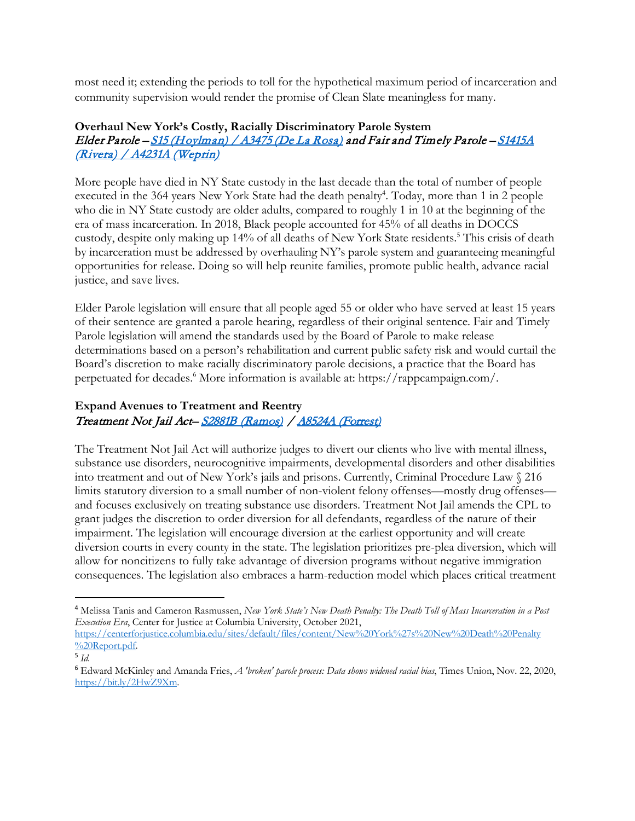most need it; extending the periods to toll for the hypothetical maximum period of incarceration and community supervision would render the promise of Clean Slate meaningless for many.

#### **Overhaul New York's Costly, Racially Discriminatory Parole System** Elder Parole – <u>S15 (Hoylman) / A3475 (De La Rosa)</u> and Fair and Timely Parole – <u>S1415A</u> (Rivera) / A4231A (Weprin)

More people have died in NY State custody in the last decade than the total of number of people executed in the 364 years New York State had the death penalty<sup>4</sup>. Today, more than 1 in 2 people who die in NY State custody are older adults, compared to roughly 1 in 10 at the beginning of the era of mass incarceration. In 2018, Black people accounted for 45% of all deaths in DOCCS custody, despite only making up 14% of all deaths of New York State residents.<sup>5</sup> This crisis of death by incarceration must be addressed by overhauling NY's parole system and guaranteeing meaningful opportunities for release. Doing so will help reunite families, promote public health, advance racial justice, and save lives.

Elder Parole legislation will ensure that all people aged 55 or older who have served at least 15 years of their sentence are granted a parole hearing, regardless of their original sentence. Fair and Timely Parole legislation will amend the standards used by the Board of Parole to make release determinations based on a person's rehabilitation and current public safety risk and would curtail the Board's discretion to make racially discriminatory parole decisions, a practice that the Board has perpetuated for decades.6 More information is available at: https://rappcampaign.com/.

# **Expand Avenues to Treatment and Reentry** Treatment Not Jail Act– S2881B (Ramos) / A8524A (Forrest)

The Treatment Not Jail Act will authorize judges to divert our clients who live with mental illness, substance use disorders, neurocognitive impairments, developmental disorders and other disabilities into treatment and out of New York's jails and prisons. Currently, Criminal Procedure Law § 216 limits statutory diversion to a small number of non-violent felony offenses—mostly drug offenses and focuses exclusively on treating substance use disorders. Treatment Not Jail amends the CPL to grant judges the discretion to order diversion for all defendants, regardless of the nature of their impairment. The legislation will encourage diversion at the earliest opportunity and will create diversion courts in every county in the state. The legislation prioritizes pre-plea diversion, which will allow for noncitizens to fully take advantage of diversion programs without negative immigration consequences. The legislation also embraces a harm-reduction model which places critical treatment

<sup>4</sup>Melissa Tanis and Cameron Rasmussen, *New York State's New Death Penalty: The Death Toll of Mass Incarceration in a Post Execution Era*, Center for Justice at Columbia University, October 2021,

https://centerforjustice.columbia.edu/sites/default/files/content/New%20York%27s%20New%20Death%20Penalty %20Report.pdf.

<sup>5</sup> *Id*.

<sup>6</sup>Edward McKinley and Amanda Fries, *A 'broken' parole process: Data shows widened racial bias*, Times Union, Nov. 22, 2020, https://bit.ly/2HwZ9Xm.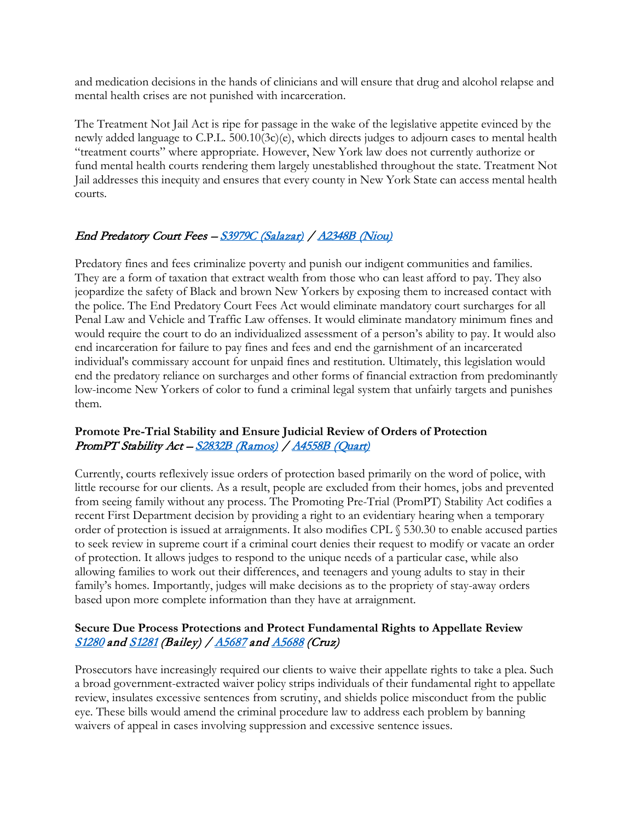and medication decisions in the hands of clinicians and will ensure that drug and alcohol relapse and mental health crises are not punished with incarceration.

The Treatment Not Jail Act is ripe for passage in the wake of the legislative appetite evinced by the newly added language to C.P.L.  $500.10(3c)(e)$ , which directs judges to adjourn cases to mental health "treatment courts" where appropriate. However, New York law does not currently authorize or fund mental health courts rendering them largely unestablished throughout the state. Treatment Not Jail addresses this inequity and ensures that every county in New York State can access mental health courts.

# End Predatory Court Fees – S3979C (Salazar) / A2348B (Niou)

Predatory fines and fees criminalize poverty and punish our indigent communities and families. They are a form of taxation that extract wealth from those who can least afford to pay. They also jeopardize the safety of Black and brown New Yorkers by exposing them to increased contact with the police. The End Predatory Court Fees Act would eliminate mandatory court surcharges for all Penal Law and Vehicle and Traffic Law offenses. It would eliminate mandatory minimum fines and would require the court to do an individualized assessment of a person's ability to pay. It would also end incarceration for failure to pay fines and fees and end the garnishment of an incarcerated individual's commissary account for unpaid fines and restitution. Ultimately, this legislation would end the predatory reliance on surcharges and other forms of financial extraction from predominantly low-income New Yorkers of color to fund a criminal legal system that unfairly targets and punishes them.

### **Promote Pre-Trial Stability and Ensure Judicial Review of Orders of Protection** PromPT Stability Act - S2832B (Ramos) / A4558B (Quart)

Currently, courts reflexively issue orders of protection based primarily on the word of police, with little recourse for our clients. As a result, people are excluded from their homes, jobs and prevented from seeing family without any process. The Promoting Pre-Trial (PromPT) Stability Act codifies a recent First Department decision by providing a right to an evidentiary hearing when a temporary order of protection is issued at arraignments. It also modifies CPL § 530.30 to enable accused parties to seek review in supreme court if a criminal court denies their request to modify or vacate an order of protection. It allows judges to respond to the unique needs of a particular case, while also allowing families to work out their differences, and teenagers and young adults to stay in their family's homes. Importantly, judges will make decisions as to the propriety of stay-away orders based upon more complete information than they have at arraignment.

# **Secure Due Process Protections and Protect Fundamental Rights to Appellate Review** S1280 and S1281 (Bailey) / A5687 and A5688 (Cruz)

Prosecutors have increasingly required our clients to waive their appellate rights to take a plea. Such a broad government-extracted waiver policy strips individuals of their fundamental right to appellate review, insulates excessive sentences from scrutiny, and shields police misconduct from the public eye. These bills would amend the criminal procedure law to address each problem by banning waivers of appeal in cases involving suppression and excessive sentence issues.